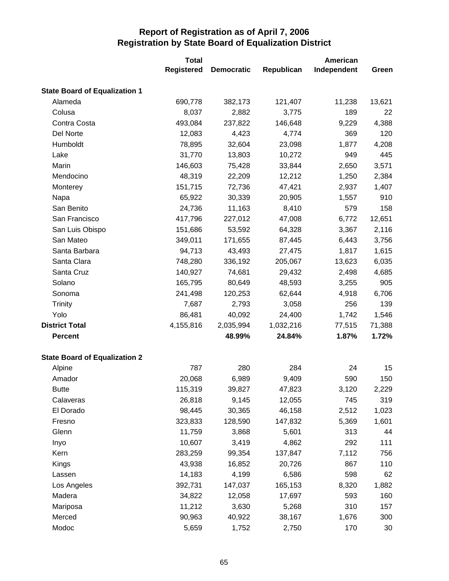|                                      | <b>Total</b>      |                   |            | American    |        |
|--------------------------------------|-------------------|-------------------|------------|-------------|--------|
|                                      | <b>Registered</b> | <b>Democratic</b> | Republican | Independent | Green  |
| <b>State Board of Equalization 1</b> |                   |                   |            |             |        |
| Alameda                              | 690,778           | 382,173           | 121,407    | 11,238      | 13,621 |
| Colusa                               | 8,037             | 2,882             | 3,775      | 189         | 22     |
| Contra Costa                         | 493,084           | 237,822           | 146,648    | 9,229       | 4,388  |
| Del Norte                            | 12,083            | 4,423             | 4,774      | 369         | 120    |
| Humboldt                             | 78,895            | 32,604            | 23,098     | 1,877       | 4,208  |
| Lake                                 | 31,770            | 13,803            | 10,272     | 949         | 445    |
| Marin                                | 146,603           | 75,428            | 33,844     | 2,650       | 3,571  |
| Mendocino                            | 48,319            | 22,209            | 12,212     | 1,250       | 2,384  |
| Monterey                             | 151,715           | 72,736            | 47,421     | 2,937       | 1,407  |
| Napa                                 | 65,922            | 30,339            | 20,905     | 1,557       | 910    |
| San Benito                           | 24,736            | 11,163            | 8,410      | 579         | 158    |
| San Francisco                        | 417,796           | 227,012           | 47,008     | 6,772       | 12,651 |
| San Luis Obispo                      | 151,686           | 53,592            | 64,328     | 3,367       | 2,116  |
| San Mateo                            | 349,011           | 171,655           | 87,445     | 6,443       | 3,756  |
| Santa Barbara                        | 94,713            | 43,493            | 27,475     | 1,817       | 1,615  |
| Santa Clara                          | 748,280           | 336,192           | 205,067    | 13,623      | 6,035  |
| Santa Cruz                           | 140,927           | 74,681            | 29,432     | 2,498       | 4,685  |
| Solano                               | 165,795           | 80,649            | 48,593     | 3,255       | 905    |
| Sonoma                               | 241,498           | 120,253           | 62,644     | 4,918       | 6,706  |
| <b>Trinity</b>                       | 7,687             | 2,793             | 3,058      | 256         | 139    |
| Yolo                                 | 86,481            | 40,092            | 24,400     | 1,742       | 1,546  |
| <b>District Total</b>                | 4,155,816         | 2,035,994         | 1,032,216  | 77,515      | 71,388 |
| <b>Percent</b>                       |                   | 48.99%            | 24.84%     | 1.87%       | 1.72%  |
| <b>State Board of Equalization 2</b> |                   |                   |            |             |        |
| Alpine                               | 787               | 280               | 284        | 24          | 15     |
| Amador                               | 20,068            | 6,989             | 9,409      | 590         | 150    |
| <b>Butte</b>                         | 115,319           | 39,827            | 47,823     | 3,120       | 2,229  |
| Calaveras                            | 26,818            | 9,145             | 12,055     | 745         | 319    |
| El Dorado                            | 98,445            | 30,365            | 46,158     | 2,512       | 1,023  |
| Fresno                               | 323,833           | 128,590           | 147,832    | 5,369       | 1,601  |
| Glenn                                | 11,759            | 3,868             | 5,601      | 313         | 44     |
| Inyo                                 | 10,607            | 3,419             | 4,862      | 292         | 111    |
| Kern                                 | 283,259           | 99,354            | 137,847    | 7,112       | 756    |
| Kings                                | 43,938            | 16,852            | 20,726     | 867         | 110    |
| Lassen                               | 14,183            | 4,199             | 6,586      | 598         | 62     |
| Los Angeles                          | 392,731           | 147,037           | 165,153    | 8,320       | 1,882  |
| Madera                               | 34,822            | 12,058            | 17,697     | 593         | 160    |
| Mariposa                             | 11,212            | 3,630             | 5,268      | 310         | 157    |
| Merced                               | 90,963            | 40,922            | 38,167     | 1,676       | 300    |
| Modoc                                | 5,659             | 1,752             | 2,750      | 170         | 30     |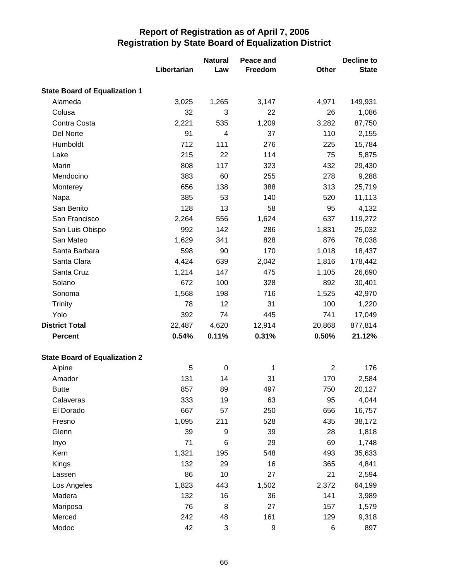|                                      | Libertarian | <b>Natural</b><br>Law | Peace and<br>Freedom | Other          | <b>Decline to</b><br><b>State</b> |
|--------------------------------------|-------------|-----------------------|----------------------|----------------|-----------------------------------|
| <b>State Board of Equalization 1</b> |             |                       |                      |                |                                   |
| Alameda                              | 3,025       | 1,265                 | 3,147                | 4,971          | 149,931                           |
| Colusa                               | 32          | 3                     | 22                   | 26             | 1,086                             |
| Contra Costa                         | 2,221       | 535                   | 1,209                | 3,282          | 87,750                            |
| Del Norte                            | 91          | 4                     | 37                   | 110            | 2,155                             |
| Humboldt                             | 712         | 111                   | 276                  | 225            | 15,784                            |
| Lake                                 | 215         | 22                    | 114                  | 75             | 5,875                             |
| Marin                                | 808         | 117                   | 323                  | 432            | 29,430                            |
| Mendocino                            | 383         | 60                    | 255                  | 278            | 9,288                             |
| Monterey                             | 656         | 138                   | 388                  | 313            | 25,719                            |
| Napa                                 | 385         | 53                    | 140                  | 520            | 11,113                            |
| San Benito                           | 128         | 13                    | 58                   | 95             | 4,132                             |
| San Francisco                        | 2,264       | 556                   | 1,624                | 637            | 119,272                           |
| San Luis Obispo                      | 992         | 142                   | 286                  | 1,831          | 25,032                            |
| San Mateo                            | 1,629       | 341                   | 828                  | 876            | 76,038                            |
| Santa Barbara                        | 598         | 90                    | 170                  | 1,018          | 18,437                            |
| Santa Clara                          | 4,424       | 639                   | 2,042                | 1,816          | 178,442                           |
| Santa Cruz                           | 1,214       | 147                   | 475                  | 1,105          | 26,690                            |
| Solano                               | 672         | 100                   | 328                  | 892            | 30,401                            |
| Sonoma                               | 1,568       | 198                   | 716                  | 1,525          | 42,970                            |
| <b>Trinity</b>                       | 78          | 12                    | 31                   | 100            | 1,220                             |
| Yolo                                 | 392         | 74                    | 445                  | 741            | 17,049                            |
| <b>District Total</b>                | 22,487      | 4,620                 | 12,914               | 20,868         | 877,814                           |
| <b>Percent</b>                       | 0.54%       | 0.11%                 | 0.31%                | 0.50%          | 21.12%                            |
| <b>State Board of Equalization 2</b> |             |                       |                      |                |                                   |
| Alpine                               | 5           | 0                     | 1                    | $\overline{2}$ | 176                               |
| Amador                               | 131         | 14                    | 31                   | 170            | 2,584                             |
| <b>Butte</b>                         | 857         | 89                    | 497                  | 750            | 20,127                            |
| Calaveras                            | 333         | 19                    | 63                   | 95             | 4,044                             |
| El Dorado                            | 667         | 57                    | 250                  | 656            | 16,757                            |
| Fresno                               | 1,095       | 211                   | 528                  | 435            | 38,172                            |
| Glenn                                | 39          | 9                     | 39                   | 28             | 1,818                             |
| Inyo                                 | 71          | 6                     | 29                   | 69             | 1,748                             |
| Kern                                 | 1,321       | 195                   | 548                  | 493            | 35,633                            |
| Kings                                | 132         | 29                    | 16                   | 365            | 4,841                             |
| Lassen                               | 86          | 10                    | 27                   | 21             | 2,594                             |
| Los Angeles                          | 1,823       | 443                   | 1,502                | 2,372          | 64,199                            |
| Madera                               | 132         | 16                    | 36                   | 141            | 3,989                             |
| Mariposa                             | 76          | 8                     | 27                   | 157            | 1,579                             |
| Merced                               | 242         | 48                    | 161                  | 129            | 9,318                             |
| Modoc                                | 42          | 3                     | 9                    | 6              | 897                               |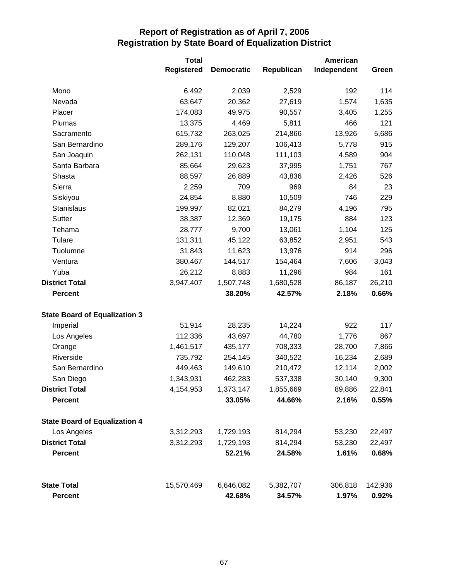|                                      | <b>Total</b>      |                   |            | American    |         |
|--------------------------------------|-------------------|-------------------|------------|-------------|---------|
|                                      | <b>Registered</b> | <b>Democratic</b> | Republican | Independent | Green   |
| Mono                                 | 6,492             | 2,039             | 2,529      | 192         | 114     |
| Nevada                               | 63,647            | 20,362            | 27,619     | 1,574       | 1,635   |
| Placer                               | 174,083           | 49,975            | 90,557     | 3,405       | 1,255   |
| Plumas                               | 13,375            | 4,469             | 5,811      | 466         | 121     |
| Sacramento                           | 615,732           | 263,025           | 214,866    | 13,926      | 5,686   |
| San Bernardino                       | 289,176           | 129,207           | 106,413    | 5,778       | 915     |
| San Joaquin                          | 262,131           | 110,048           | 111,103    | 4,589       | 904     |
| Santa Barbara                        | 85,664            | 29,623            | 37,995     | 1,751       | 767     |
| Shasta                               | 88,597            | 26,889            | 43,836     | 2,426       | 526     |
| Sierra                               | 2,259             | 709               | 969        | 84          | 23      |
| Siskiyou                             | 24,854            | 8,880             | 10,509     | 746         | 229     |
| Stanislaus                           | 199,997           | 82,021            | 84,279     | 4,196       | 795     |
| Sutter                               | 38,387            | 12,369            | 19,175     | 884         | 123     |
| Tehama                               | 28,777            | 9,700             | 13,061     | 1,104       | 125     |
| Tulare                               | 131,311           | 45,122            | 63,852     | 2,951       | 543     |
| Tuolumne                             | 31,843            | 11,623            | 13,976     | 914         | 296     |
| Ventura                              | 380,467           | 144,517           | 154,464    | 7,606       | 3,043   |
| Yuba                                 | 26,212            | 8,883             | 11,296     | 984         | 161     |
| <b>District Total</b>                | 3,947,407         | 1,507,748         | 1,680,528  | 86,187      | 26,210  |
| <b>Percent</b>                       |                   | 38.20%            | 42.57%     | 2.18%       | 0.66%   |
| <b>State Board of Equalization 3</b> |                   |                   |            |             |         |
| Imperial                             | 51,914            | 28,235            | 14,224     | 922         | 117     |
| Los Angeles                          | 112,336           | 43,697            | 44,780     | 1,776       | 867     |
| Orange                               | 1,461,517         | 435,177           | 708,333    | 28,700      | 7,866   |
| Riverside                            | 735,792           | 254,145           | 340,522    | 16,234      | 2,689   |
| San Bernardino                       | 449,463           | 149,610           | 210,472    | 12,114      | 2,002   |
| San Diego                            | 1,343,931         | 462,283           | 537,338    | 30,140      | 9,300   |
| <b>District Total</b>                | 4,154,953         | 1,373,147         | 1,855,669  | 89,886      | 22,841  |
| <b>Percent</b>                       |                   | 33.05%            | 44.66%     | 2.16%       | 0.55%   |
| <b>State Board of Equalization 4</b> |                   |                   |            |             |         |
| Los Angeles                          | 3,312,293         | 1,729,193         | 814,294    | 53,230      | 22,497  |
| <b>District Total</b>                | 3,312,293         | 1,729,193         | 814,294    | 53,230      | 22,497  |
| <b>Percent</b>                       |                   | 52.21%            | 24.58%     | 1.61%       | 0.68%   |
| <b>State Total</b>                   | 15,570,469        | 6,646,082         | 5,382,707  | 306,818     | 142,936 |
| <b>Percent</b>                       |                   | 42.68%            | 34.57%     | 1.97%       | 0.92%   |